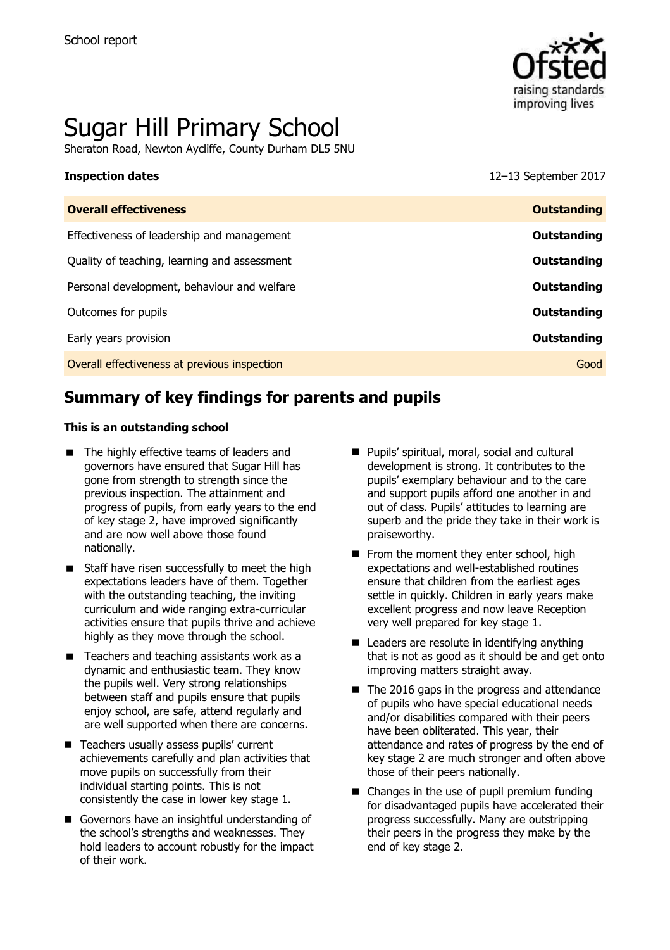

# Sugar Hill Primary School

Sheraton Road, Newton Aycliffe, County Durham DL5 5NU

**Inspection dates** 12–13 September 2017

| <b>Overall effectiveness</b>                 | <b>Outstanding</b> |
|----------------------------------------------|--------------------|
| Effectiveness of leadership and management   | Outstanding        |
| Quality of teaching, learning and assessment | Outstanding        |
| Personal development, behaviour and welfare  | Outstanding        |
| Outcomes for pupils                          | Outstanding        |
| Early years provision                        | Outstanding        |
| Overall effectiveness at previous inspection | Good               |
|                                              |                    |

# **Summary of key findings for parents and pupils**

#### **This is an outstanding school**

- The highly effective teams of leaders and governors have ensured that Sugar Hill has gone from strength to strength since the previous inspection. The attainment and progress of pupils, from early years to the end of key stage 2, have improved significantly and are now well above those found nationally.
- Staff have risen successfully to meet the high expectations leaders have of them. Together with the outstanding teaching, the inviting curriculum and wide ranging extra-curricular activities ensure that pupils thrive and achieve highly as they move through the school.
- Teachers and teaching assistants work as a dynamic and enthusiastic team. They know the pupils well. Very strong relationships between staff and pupils ensure that pupils enjoy school, are safe, attend regularly and are well supported when there are concerns.
- Teachers usually assess pupils' current achievements carefully and plan activities that move pupils on successfully from their individual starting points. This is not consistently the case in lower key stage 1.
- Governors have an insightful understanding of the school's strengths and weaknesses. They hold leaders to account robustly for the impact of their work.
- Pupils' spiritual, moral, social and cultural development is strong. It contributes to the pupils' exemplary behaviour and to the care and support pupils afford one another in and out of class. Pupils' attitudes to learning are superb and the pride they take in their work is praiseworthy.
- From the moment they enter school, high expectations and well-established routines ensure that children from the earliest ages settle in quickly. Children in early years make excellent progress and now leave Reception very well prepared for key stage 1.
- Leaders are resolute in identifying anything that is not as good as it should be and get onto improving matters straight away.
- $\blacksquare$  The 2016 gaps in the progress and attendance of pupils who have special educational needs and/or disabilities compared with their peers have been obliterated. This year, their attendance and rates of progress by the end of key stage 2 are much stronger and often above those of their peers nationally.
- Changes in the use of pupil premium funding for disadvantaged pupils have accelerated their progress successfully. Many are outstripping their peers in the progress they make by the end of key stage 2.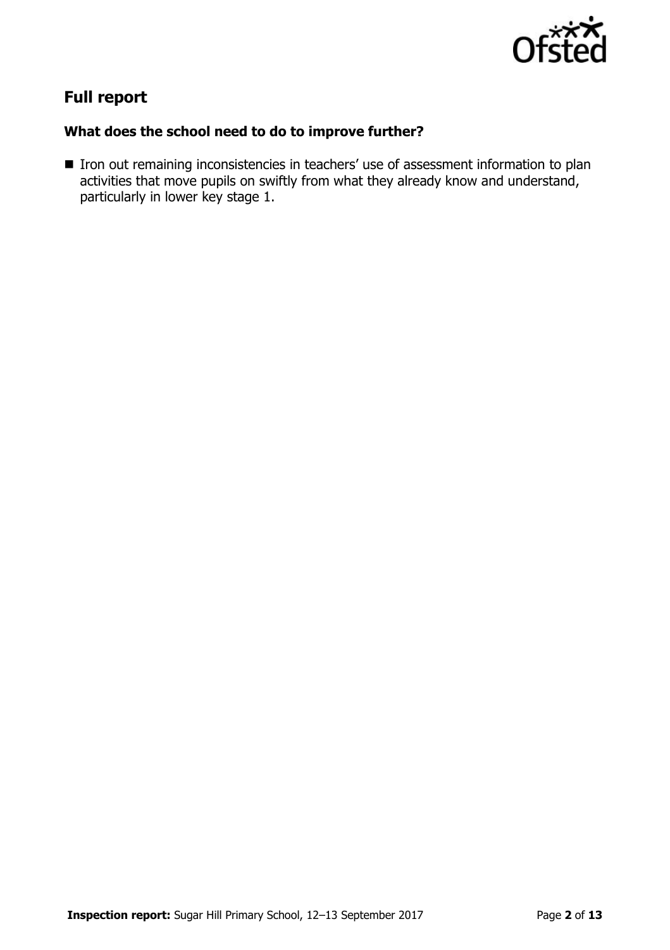

# **Full report**

### **What does the school need to do to improve further?**

■ Iron out remaining inconsistencies in teachers' use of assessment information to plan activities that move pupils on swiftly from what they already know and understand, particularly in lower key stage 1.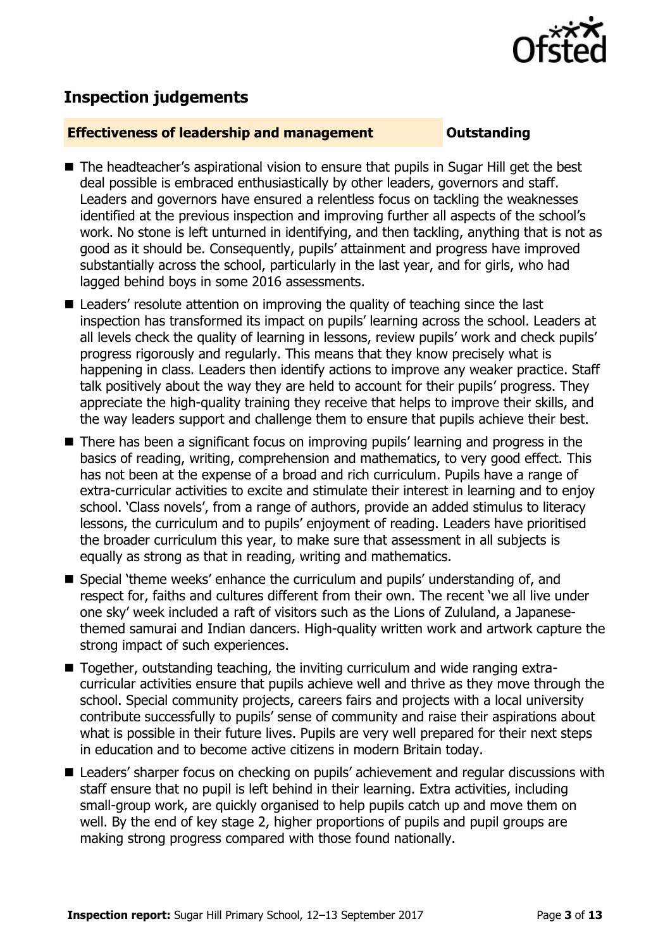

# **Inspection judgements**

#### **Effectiveness of leadership and management COULDER COULDER OUTSTANDING**

- The headteacher's aspirational vision to ensure that pupils in Sugar Hill get the best deal possible is embraced enthusiastically by other leaders, governors and staff. Leaders and governors have ensured a relentless focus on tackling the weaknesses identified at the previous inspection and improving further all aspects of the school's work. No stone is left unturned in identifying, and then tackling, anything that is not as good as it should be. Consequently, pupils' attainment and progress have improved substantially across the school, particularly in the last year, and for girls, who had lagged behind boys in some 2016 assessments.
- Leaders' resolute attention on improving the quality of teaching since the last inspection has transformed its impact on pupils' learning across the school. Leaders at all levels check the quality of learning in lessons, review pupils' work and check pupils' progress rigorously and regularly. This means that they know precisely what is happening in class. Leaders then identify actions to improve any weaker practice. Staff talk positively about the way they are held to account for their pupils' progress. They appreciate the high-quality training they receive that helps to improve their skills, and the way leaders support and challenge them to ensure that pupils achieve their best.
- There has been a significant focus on improving pupils' learning and progress in the basics of reading, writing, comprehension and mathematics, to very good effect. This has not been at the expense of a broad and rich curriculum. Pupils have a range of extra-curricular activities to excite and stimulate their interest in learning and to enjoy school. 'Class novels', from a range of authors, provide an added stimulus to literacy lessons, the curriculum and to pupils' enjoyment of reading. Leaders have prioritised the broader curriculum this year, to make sure that assessment in all subjects is equally as strong as that in reading, writing and mathematics.
- Special 'theme weeks' enhance the curriculum and pupils' understanding of, and respect for, faiths and cultures different from their own. The recent 'we all live under one sky' week included a raft of visitors such as the Lions of Zululand, a Japanesethemed samurai and Indian dancers. High-quality written work and artwork capture the strong impact of such experiences.
- Together, outstanding teaching, the inviting curriculum and wide ranging extracurricular activities ensure that pupils achieve well and thrive as they move through the school. Special community projects, careers fairs and projects with a local university contribute successfully to pupils' sense of community and raise their aspirations about what is possible in their future lives. Pupils are very well prepared for their next steps in education and to become active citizens in modern Britain today.
- Leaders' sharper focus on checking on pupils' achievement and regular discussions with staff ensure that no pupil is left behind in their learning. Extra activities, including small-group work, are quickly organised to help pupils catch up and move them on well. By the end of key stage 2, higher proportions of pupils and pupil groups are making strong progress compared with those found nationally.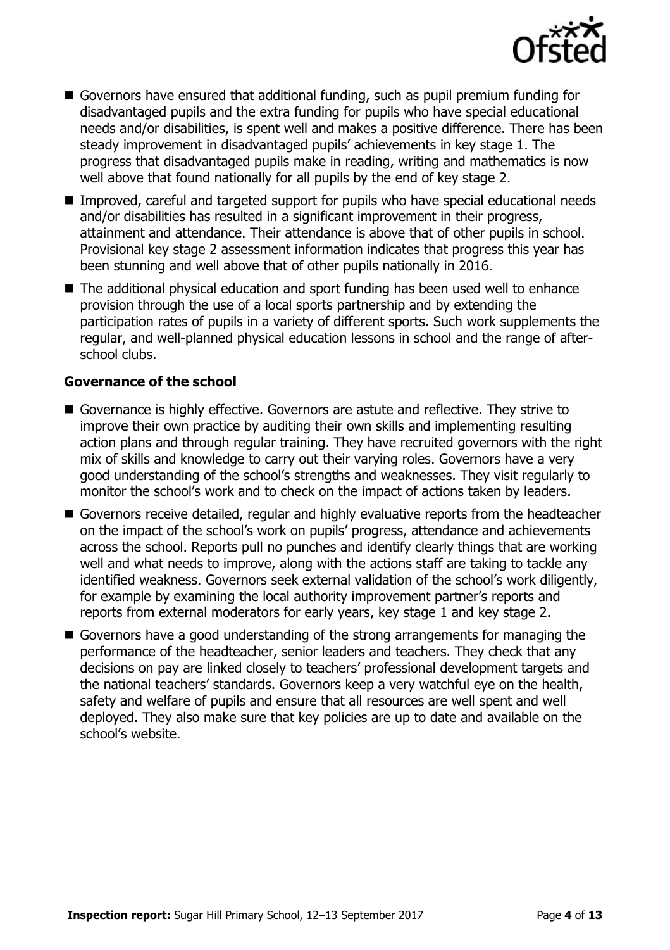

- Governors have ensured that additional funding, such as pupil premium funding for disadvantaged pupils and the extra funding for pupils who have special educational needs and/or disabilities, is spent well and makes a positive difference. There has been steady improvement in disadvantaged pupils' achievements in key stage 1. The progress that disadvantaged pupils make in reading, writing and mathematics is now well above that found nationally for all pupils by the end of key stage 2.
- Improved, careful and targeted support for pupils who have special educational needs and/or disabilities has resulted in a significant improvement in their progress, attainment and attendance. Their attendance is above that of other pupils in school. Provisional key stage 2 assessment information indicates that progress this year has been stunning and well above that of other pupils nationally in 2016.
- The additional physical education and sport funding has been used well to enhance provision through the use of a local sports partnership and by extending the participation rates of pupils in a variety of different sports. Such work supplements the regular, and well-planned physical education lessons in school and the range of afterschool clubs.

#### **Governance of the school**

- Governance is highly effective. Governors are astute and reflective. They strive to improve their own practice by auditing their own skills and implementing resulting action plans and through regular training. They have recruited governors with the right mix of skills and knowledge to carry out their varying roles. Governors have a very good understanding of the school's strengths and weaknesses. They visit regularly to monitor the school's work and to check on the impact of actions taken by leaders.
- Governors receive detailed, regular and highly evaluative reports from the headteacher on the impact of the school's work on pupils' progress, attendance and achievements across the school. Reports pull no punches and identify clearly things that are working well and what needs to improve, along with the actions staff are taking to tackle any identified weakness. Governors seek external validation of the school's work diligently, for example by examining the local authority improvement partner's reports and reports from external moderators for early years, key stage 1 and key stage 2.
- Governors have a good understanding of the strong arrangements for managing the performance of the headteacher, senior leaders and teachers. They check that any decisions on pay are linked closely to teachers' professional development targets and the national teachers' standards. Governors keep a very watchful eye on the health, safety and welfare of pupils and ensure that all resources are well spent and well deployed. They also make sure that key policies are up to date and available on the school's website.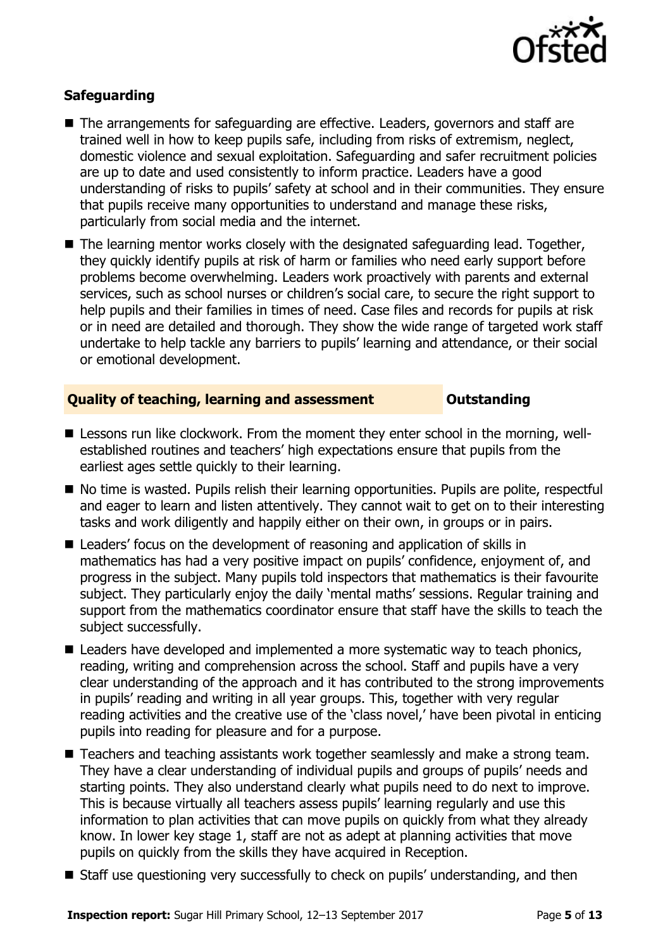

### **Safeguarding**

- The arrangements for safeguarding are effective. Leaders, governors and staff are trained well in how to keep pupils safe, including from risks of extremism, neglect, domestic violence and sexual exploitation. Safeguarding and safer recruitment policies are up to date and used consistently to inform practice. Leaders have a good understanding of risks to pupils' safety at school and in their communities. They ensure that pupils receive many opportunities to understand and manage these risks, particularly from social media and the internet.
- The learning mentor works closely with the designated safeguarding lead. Together, they quickly identify pupils at risk of harm or families who need early support before problems become overwhelming. Leaders work proactively with parents and external services, such as school nurses or children's social care, to secure the right support to help pupils and their families in times of need. Case files and records for pupils at risk or in need are detailed and thorough. They show the wide range of targeted work staff undertake to help tackle any barriers to pupils' learning and attendance, or their social or emotional development.

#### **Quality of teaching, learning and assessment <b>Caucalian** Outstanding

- Lessons run like clockwork. From the moment they enter school in the morning, wellestablished routines and teachers' high expectations ensure that pupils from the earliest ages settle quickly to their learning.
- No time is wasted. Pupils relish their learning opportunities. Pupils are polite, respectful and eager to learn and listen attentively. They cannot wait to get on to their interesting tasks and work diligently and happily either on their own, in groups or in pairs.
- Leaders' focus on the development of reasoning and application of skills in mathematics has had a very positive impact on pupils' confidence, enjoyment of, and progress in the subject. Many pupils told inspectors that mathematics is their favourite subject. They particularly enjoy the daily 'mental maths' sessions. Regular training and support from the mathematics coordinator ensure that staff have the skills to teach the subject successfully.
- Leaders have developed and implemented a more systematic way to teach phonics, reading, writing and comprehension across the school. Staff and pupils have a very clear understanding of the approach and it has contributed to the strong improvements in pupils' reading and writing in all year groups. This, together with very regular reading activities and the creative use of the 'class novel,' have been pivotal in enticing pupils into reading for pleasure and for a purpose.
- Teachers and teaching assistants work together seamlessly and make a strong team. They have a clear understanding of individual pupils and groups of pupils' needs and starting points. They also understand clearly what pupils need to do next to improve. This is because virtually all teachers assess pupils' learning regularly and use this information to plan activities that can move pupils on quickly from what they already know. In lower key stage 1, staff are not as adept at planning activities that move pupils on quickly from the skills they have acquired in Reception.
- Staff use questioning very successfully to check on pupils' understanding, and then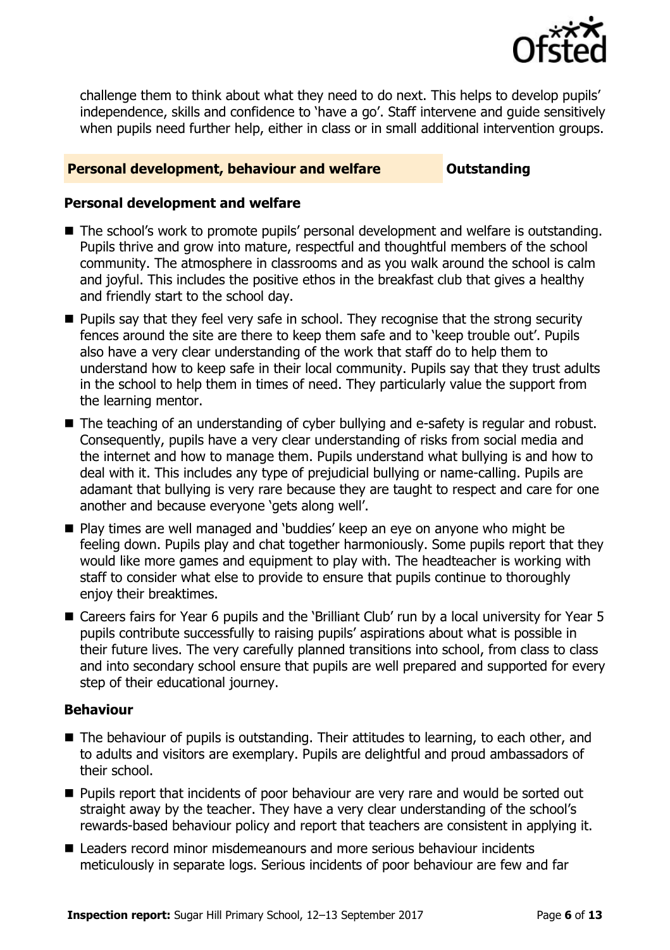

challenge them to think about what they need to do next. This helps to develop pupils' independence, skills and confidence to 'have a go'. Staff intervene and guide sensitively when pupils need further help, either in class or in small additional intervention groups.

#### **Personal development, behaviour and welfare <b>COULTS** Outstanding

#### **Personal development and welfare**

- The school's work to promote pupils' personal development and welfare is outstanding. Pupils thrive and grow into mature, respectful and thoughtful members of the school community. The atmosphere in classrooms and as you walk around the school is calm and joyful. This includes the positive ethos in the breakfast club that gives a healthy and friendly start to the school day.
- **Pupils say that they feel very safe in school. They recognise that the strong security** fences around the site are there to keep them safe and to 'keep trouble out'. Pupils also have a very clear understanding of the work that staff do to help them to understand how to keep safe in their local community. Pupils say that they trust adults in the school to help them in times of need. They particularly value the support from the learning mentor.
- The teaching of an understanding of cyber bullying and e-safety is regular and robust. Consequently, pupils have a very clear understanding of risks from social media and the internet and how to manage them. Pupils understand what bullying is and how to deal with it. This includes any type of prejudicial bullying or name-calling. Pupils are adamant that bullying is very rare because they are taught to respect and care for one another and because everyone 'gets along well'.
- Play times are well managed and 'buddies' keep an eye on anyone who might be feeling down. Pupils play and chat together harmoniously. Some pupils report that they would like more games and equipment to play with. The headteacher is working with staff to consider what else to provide to ensure that pupils continue to thoroughly enjoy their breaktimes.
- Careers fairs for Year 6 pupils and the 'Brilliant Club' run by a local university for Year 5 pupils contribute successfully to raising pupils' aspirations about what is possible in their future lives. The very carefully planned transitions into school, from class to class and into secondary school ensure that pupils are well prepared and supported for every step of their educational journey.

### **Behaviour**

- The behaviour of pupils is outstanding. Their attitudes to learning, to each other, and to adults and visitors are exemplary. Pupils are delightful and proud ambassadors of their school.
- **Pupils report that incidents of poor behaviour are very rare and would be sorted out** straight away by the teacher. They have a very clear understanding of the school's rewards-based behaviour policy and report that teachers are consistent in applying it.
- Leaders record minor misdemeanours and more serious behaviour incidents meticulously in separate logs. Serious incidents of poor behaviour are few and far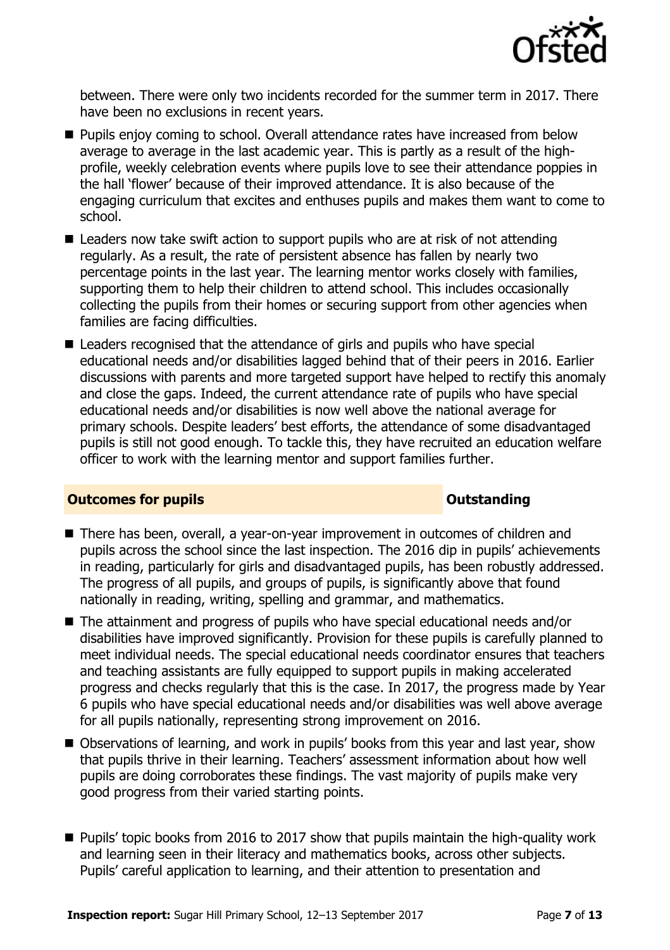

between. There were only two incidents recorded for the summer term in 2017. There have been no exclusions in recent years.

- **Pupils enjoy coming to school. Overall attendance rates have increased from below** average to average in the last academic year. This is partly as a result of the highprofile, weekly celebration events where pupils love to see their attendance poppies in the hall 'flower' because of their improved attendance. It is also because of the engaging curriculum that excites and enthuses pupils and makes them want to come to school.
- Leaders now take swift action to support pupils who are at risk of not attending regularly. As a result, the rate of persistent absence has fallen by nearly two percentage points in the last year. The learning mentor works closely with families, supporting them to help their children to attend school. This includes occasionally collecting the pupils from their homes or securing support from other agencies when families are facing difficulties.
- Leaders recognised that the attendance of girls and pupils who have special educational needs and/or disabilities lagged behind that of their peers in 2016. Earlier discussions with parents and more targeted support have helped to rectify this anomaly and close the gaps. Indeed, the current attendance rate of pupils who have special educational needs and/or disabilities is now well above the national average for primary schools. Despite leaders' best efforts, the attendance of some disadvantaged pupils is still not good enough. To tackle this, they have recruited an education welfare officer to work with the learning mentor and support families further.

### **Outcomes for pupils Outstanding**

- There has been, overall, a vear-on-vear improvement in outcomes of children and pupils across the school since the last inspection. The 2016 dip in pupils' achievements in reading, particularly for girls and disadvantaged pupils, has been robustly addressed. The progress of all pupils, and groups of pupils, is significantly above that found nationally in reading, writing, spelling and grammar, and mathematics.
- The attainment and progress of pupils who have special educational needs and/or disabilities have improved significantly. Provision for these pupils is carefully planned to meet individual needs. The special educational needs coordinator ensures that teachers and teaching assistants are fully equipped to support pupils in making accelerated progress and checks regularly that this is the case. In 2017, the progress made by Year 6 pupils who have special educational needs and/or disabilities was well above average for all pupils nationally, representing strong improvement on 2016.
- Observations of learning, and work in pupils' books from this year and last year, show that pupils thrive in their learning. Teachers' assessment information about how well pupils are doing corroborates these findings. The vast majority of pupils make very good progress from their varied starting points.
- Pupils' topic books from 2016 to 2017 show that pupils maintain the high-quality work and learning seen in their literacy and mathematics books, across other subjects. Pupils' careful application to learning, and their attention to presentation and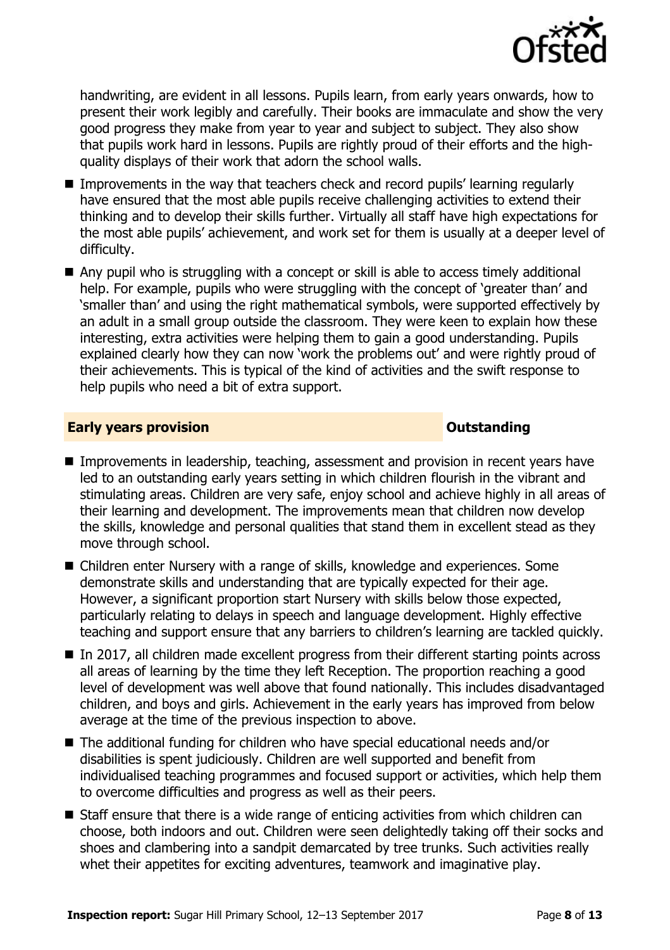

handwriting, are evident in all lessons. Pupils learn, from early years onwards, how to present their work legibly and carefully. Their books are immaculate and show the very good progress they make from year to year and subject to subject. They also show that pupils work hard in lessons. Pupils are rightly proud of their efforts and the highquality displays of their work that adorn the school walls.

- Improvements in the way that teachers check and record pupils' learning regularly have ensured that the most able pupils receive challenging activities to extend their thinking and to develop their skills further. Virtually all staff have high expectations for the most able pupils' achievement, and work set for them is usually at a deeper level of difficulty.
- Any pupil who is struggling with a concept or skill is able to access timely additional help. For example, pupils who were struggling with the concept of 'greater than' and 'smaller than' and using the right mathematical symbols, were supported effectively by an adult in a small group outside the classroom. They were keen to explain how these interesting, extra activities were helping them to gain a good understanding. Pupils explained clearly how they can now 'work the problems out' and were rightly proud of their achievements. This is typical of the kind of activities and the swift response to help pupils who need a bit of extra support.

#### **Early years provision CONSTANDING TO A RESEARCH CONSTANDING TO A RESEARCH CONSTANDING TO A RESEARCH CONSTANDING TO A RESEARCH CONSTANDING TO A RESEARCH CONSTANDING TO A RESEARCH CONSTANDING TO A RESEARCH CONSTANDING TO**

- **Improvements in leadership, teaching, assessment and provision in recent years have** led to an outstanding early years setting in which children flourish in the vibrant and stimulating areas. Children are very safe, enjoy school and achieve highly in all areas of their learning and development. The improvements mean that children now develop the skills, knowledge and personal qualities that stand them in excellent stead as they move through school.
- Children enter Nursery with a range of skills, knowledge and experiences. Some demonstrate skills and understanding that are typically expected for their age. However, a significant proportion start Nursery with skills below those expected, particularly relating to delays in speech and language development. Highly effective teaching and support ensure that any barriers to children's learning are tackled quickly.
- In 2017, all children made excellent progress from their different starting points across all areas of learning by the time they left Reception. The proportion reaching a good level of development was well above that found nationally. This includes disadvantaged children, and boys and girls. Achievement in the early years has improved from below average at the time of the previous inspection to above.
- The additional funding for children who have special educational needs and/or disabilities is spent judiciously. Children are well supported and benefit from individualised teaching programmes and focused support or activities, which help them to overcome difficulties and progress as well as their peers.
- Staff ensure that there is a wide range of enticing activities from which children can choose, both indoors and out. Children were seen delightedly taking off their socks and shoes and clambering into a sandpit demarcated by tree trunks. Such activities really whet their appetites for exciting adventures, teamwork and imaginative play.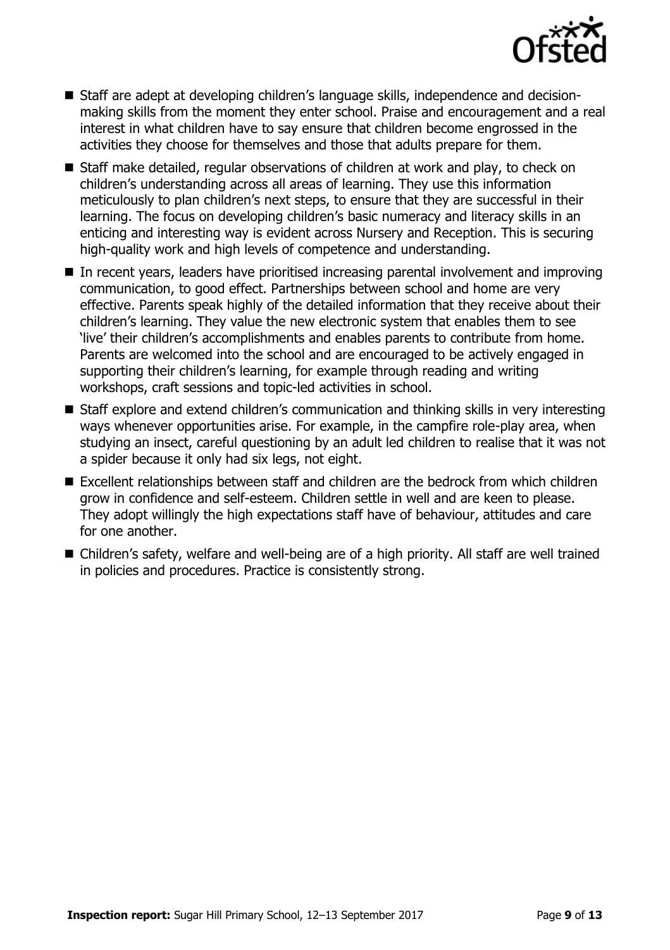

- Staff are adept at developing children's language skills, independence and decisionmaking skills from the moment they enter school. Praise and encouragement and a real interest in what children have to say ensure that children become engrossed in the activities they choose for themselves and those that adults prepare for them.
- Staff make detailed, regular observations of children at work and play, to check on children's understanding across all areas of learning. They use this information meticulously to plan children's next steps, to ensure that they are successful in their learning. The focus on developing children's basic numeracy and literacy skills in an enticing and interesting way is evident across Nursery and Reception. This is securing high-quality work and high levels of competence and understanding.
- In recent years, leaders have prioritised increasing parental involvement and improving communication, to good effect. Partnerships between school and home are very effective. Parents speak highly of the detailed information that they receive about their children's learning. They value the new electronic system that enables them to see 'live' their children's accomplishments and enables parents to contribute from home. Parents are welcomed into the school and are encouraged to be actively engaged in supporting their children's learning, for example through reading and writing workshops, craft sessions and topic-led activities in school.
- Staff explore and extend children's communication and thinking skills in very interesting ways whenever opportunities arise. For example, in the campfire role-play area, when studying an insect, careful questioning by an adult led children to realise that it was not a spider because it only had six legs, not eight.
- Excellent relationships between staff and children are the bedrock from which children grow in confidence and self-esteem. Children settle in well and are keen to please. They adopt willingly the high expectations staff have of behaviour, attitudes and care for one another.
- Children's safety, welfare and well-being are of a high priority. All staff are well trained in policies and procedures. Practice is consistently strong.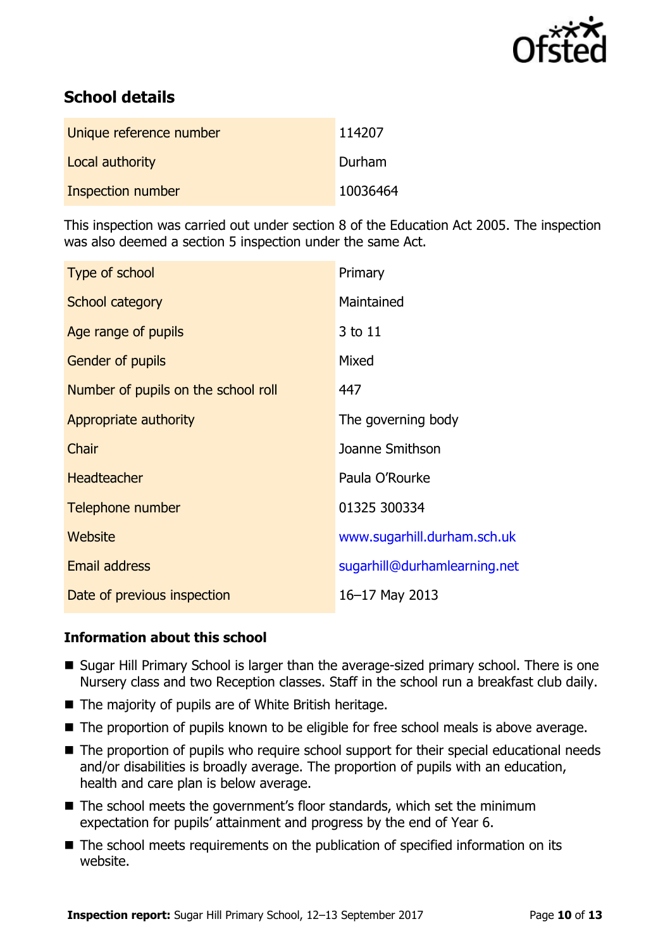

# **School details**

| Unique reference number | 114207   |
|-------------------------|----------|
| Local authority         | Durham   |
| Inspection number       | 10036464 |

This inspection was carried out under section 8 of the Education Act 2005. The inspection was also deemed a section 5 inspection under the same Act.

| Type of school                      | Primary                      |
|-------------------------------------|------------------------------|
| School category                     | Maintained                   |
| Age range of pupils                 | 3 to 11                      |
| <b>Gender of pupils</b>             | Mixed                        |
| Number of pupils on the school roll | 447                          |
| Appropriate authority               | The governing body           |
| Chair                               | Joanne Smithson              |
| <b>Headteacher</b>                  | Paula O'Rourke               |
| Telephone number                    | 01325 300334                 |
| Website                             | www.sugarhill.durham.sch.uk  |
| <b>Email address</b>                | sugarhill@durhamlearning.net |
| Date of previous inspection         | 16-17 May 2013               |

### **Information about this school**

- Sugar Hill Primary School is larger than the average-sized primary school. There is one Nursery class and two Reception classes. Staff in the school run a breakfast club daily.
- The majority of pupils are of White British heritage.
- The proportion of pupils known to be eligible for free school meals is above average.
- The proportion of pupils who require school support for their special educational needs and/or disabilities is broadly average. The proportion of pupils with an education, health and care plan is below average.
- The school meets the government's floor standards, which set the minimum expectation for pupils' attainment and progress by the end of Year 6.
- The school meets requirements on the publication of specified information on its website.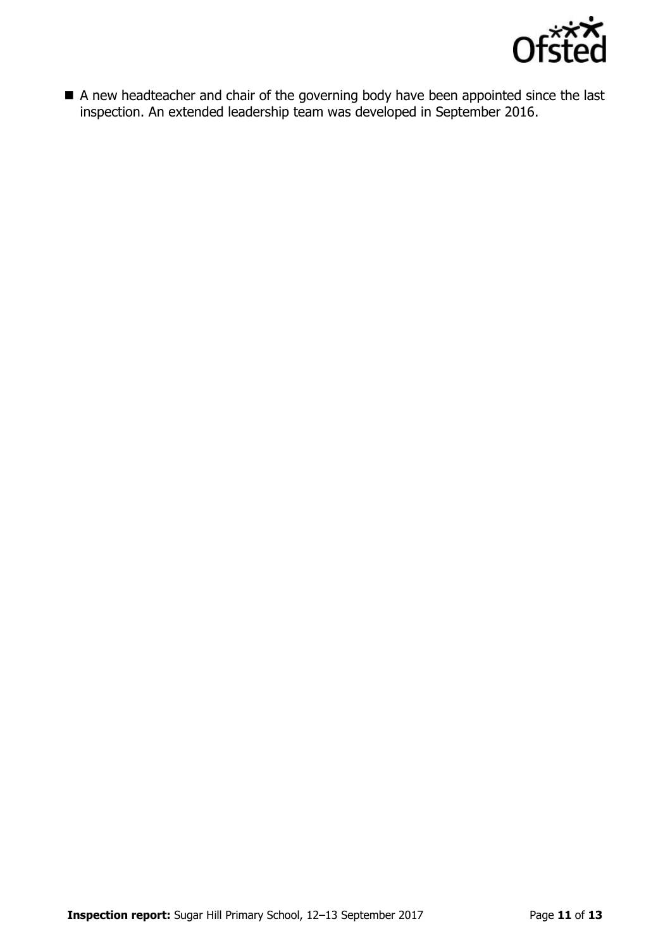

 A new headteacher and chair of the governing body have been appointed since the last inspection. An extended leadership team was developed in September 2016.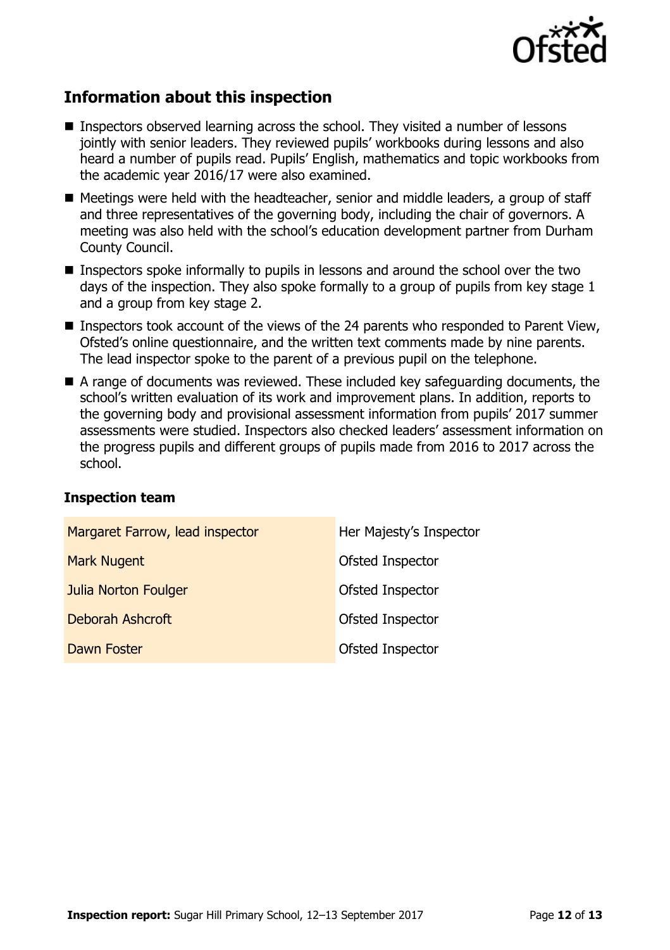

# **Information about this inspection**

- **Inspectors observed learning across the school. They visited a number of lessons** jointly with senior leaders. They reviewed pupils' workbooks during lessons and also heard a number of pupils read. Pupils' English, mathematics and topic workbooks from the academic year 2016/17 were also examined.
- $\blacksquare$  Meetings were held with the headteacher, senior and middle leaders, a group of staff and three representatives of the governing body, including the chair of governors. A meeting was also held with the school's education development partner from Durham County Council.
- **Inspectors spoke informally to pupils in lessons and around the school over the two** days of the inspection. They also spoke formally to a group of pupils from key stage 1 and a group from key stage 2.
- Inspectors took account of the views of the 24 parents who responded to Parent View, Ofsted's online questionnaire, and the written text comments made by nine parents. The lead inspector spoke to the parent of a previous pupil on the telephone.
- A range of documents was reviewed. These included key safeguarding documents, the school's written evaluation of its work and improvement plans. In addition, reports to the governing body and provisional assessment information from pupils' 2017 summer assessments were studied. Inspectors also checked leaders' assessment information on the progress pupils and different groups of pupils made from 2016 to 2017 across the school.

### **Inspection team**

| Margaret Farrow, lead inspector | Her Majesty's Inspector |
|---------------------------------|-------------------------|
| <b>Mark Nugent</b>              | Ofsted Inspector        |
| <b>Julia Norton Foulger</b>     | Ofsted Inspector        |
| <b>Deborah Ashcroft</b>         | Ofsted Inspector        |
| Dawn Foster                     | Ofsted Inspector        |